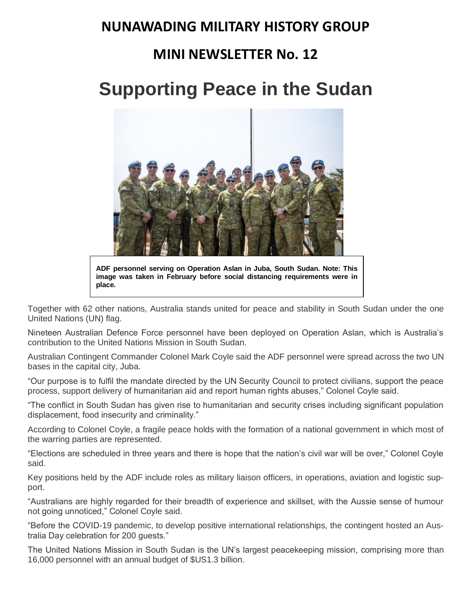### **NUNAWADING MILITARY HISTORY GROUP**

### **MINI NEWSLETTER No. 12**

# **Supporting Peace in the Sudan**



**ADF personnel serving on Operation Aslan in Juba, South Sudan. Note: This image was taken in February before social distancing requirements were in place.**

Together with 62 other nations, Australia stands united for peace and stability in South Sudan under the one United Nations (UN) flag.

Nineteen Australian Defence Force personnel have been deployed on Operation Aslan, which is Australia's contribution to the United Nations Mission in South Sudan.

Australian Contingent Commander Colonel Mark Coyle said the ADF personnel were spread across the two UN bases in the capital city, Juba.

"Our purpose is to fulfil the mandate directed by the UN Security Council to protect civilians, support the peace process, support delivery of humanitarian aid and report human rights abuses," Colonel Coyle said.

"The conflict in South Sudan has given rise to humanitarian and security crises including significant population displacement, food insecurity and criminality."

According to Colonel Coyle, a fragile peace holds with the formation of a national government in which most of the warring parties are represented.

"Elections are scheduled in three years and there is hope that the nation's civil war will be over," Colonel Coyle said.

Key positions held by the ADF include roles as military liaison officers, in operations, aviation and logistic support.

"Australians are highly regarded for their breadth of experience and skillset, with the Aussie sense of humour not going unnoticed," Colonel Coyle said.

"Before the COVID-19 pandemic, to develop positive international relationships, the contingent hosted an Australia Day celebration for 200 guests."

The United Nations Mission in South Sudan is the UN's largest peacekeeping mission, comprising more than 16,000 personnel with an annual budget of \$US1.3 billion.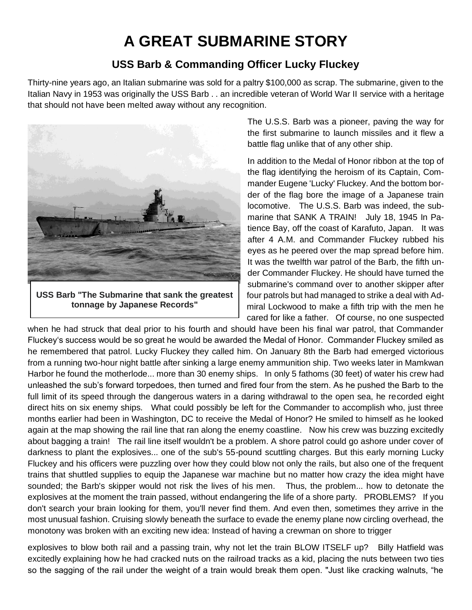# **A GREAT SUBMARINE STORY**

#### **USS Barb & Commanding Officer Lucky Fluckey**

Thirty-nine years ago, an Italian submarine was sold for a paltry \$100,000 as scrap. The submarine, given to the Italian Navy in 1953 was originally the USS Barb . . an incredible veteran of World War II service with a heritage that should not have been melted away without any recognition.



**USS Barb "The Submarine that sank the greatest tonnage by Japanese Records"**

The U.S.S. Barb was a pioneer, paving the way for the first submarine to launch missiles and it flew a battle flag unlike that of any other ship.

In addition to the Medal of Honor ribbon at the top of the flag identifying the heroism of its Captain, Commander Eugene 'Lucky' Fluckey. And the bottom border of the flag bore the image of a Japanese train locomotive. The U.S.S. Barb was indeed, the submarine that SANK A TRAIN! July 18, 1945 In Patience Bay, off the coast of Karafuto, Japan. It was after 4 A.M. and Commander Fluckey rubbed his eyes as he peered over the map spread before him. It was the twelfth war patrol of the Barb, the fifth under Commander Fluckey. He should have turned the submarine's command over to another skipper after four patrols but had managed to strike a deal with Admiral Lockwood to make a fifth trip with the men he cared for like a father. Of course, no one suspected

when he had struck that deal prior to his fourth and should have been his final war patrol, that Commander Fluckey's success would be so great he would be awarded the Medal of Honor. Commander Fluckey smiled as he remembered that patrol. Lucky Fluckey they called him. On January 8th the Barb had emerged victorious from a running two-hour night battle after sinking a large enemy ammunition ship. Two weeks later in Mamkwan Harbor he found the motherlode... more than 30 enemy ships. In only 5 fathoms (30 feet) of water his crew had unleashed the sub's forward torpedoes, then turned and fired four from the stern. As he pushed the Barb to the full limit of its speed through the dangerous waters in a daring withdrawal to the open sea, he recorded eight direct hits on six enemy ships. What could possibly be left for the Commander to accomplish who, just three months earlier had been in Washington, DC to receive the Medal of Honor? He smiled to himself as he looked again at the map showing the rail line that ran along the enemy coastline. Now his crew was buzzing excitedly about bagging a train! The rail line itself wouldn't be a problem. A shore patrol could go ashore under cover of darkness to plant the explosives... one of the sub's 55-pound scuttling charges. But this early morning Lucky Fluckey and his officers were puzzling over how they could blow not only the rails, but also one of the frequent trains that shuttled supplies to equip the Japanese war machine but no matter how crazy the idea might have sounded; the Barb's skipper would not risk the lives of his men. Thus, the problem... how to detonate the explosives at the moment the train passed, without endangering the life of a shore party. PROBLEMS? If you don't search your brain looking for them, you'll never find them. And even then, sometimes they arrive in the most unusual fashion. Cruising slowly beneath the surface to evade the enemy plane now circling overhead, the monotony was broken with an exciting new idea: Instead of having a crewman on shore to trigger

explosives to blow both rail and a passing train, why not let the train BLOW ITSELF up? Billy Hatfield was excitedly explaining how he had cracked nuts on the railroad tracks as a kid, placing the nuts between two ties so the sagging of the rail under the weight of a train would break them open. "Just like cracking walnuts, "he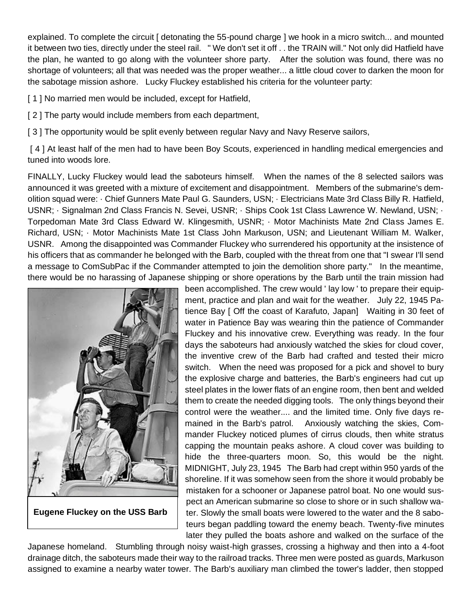explained. To complete the circuit [ detonating the 55-pound charge ] we hook in a micro switch... and mounted it between two ties, directly under the steel rail. " We don't set it off . . the TRAIN will." Not only did Hatfield have the plan, he wanted to go along with the volunteer shore party. After the solution was found, there was no shortage of volunteers; all that was needed was the proper weather... a little cloud cover to darken the moon for the sabotage mission ashore. Lucky Fluckey established his criteria for the volunteer party:

[1] No married men would be included, except for Hatfield,

[2] The party would include members from each department,

[3] The opportunity would be split evenly between regular Navy and Navy Reserve sailors,

[4] At least half of the men had to have been Boy Scouts, experienced in handling medical emergencies and tuned into woods lore.

FINALLY, Lucky Fluckey would lead the saboteurs himself. When the names of the 8 selected sailors was announced it was greeted with a mixture of excitement and disappointment. Members of the submarine's demolition squad were: · Chief Gunners Mate Paul G. Saunders, USN; · Electricians Mate 3rd Class Billy R. Hatfield, USNR; · Signalman 2nd Class Francis N. Sevei, USNR; · Ships Cook 1st Class Lawrence W. Newland, USN; · Torpedoman Mate 3rd Class Edward W. Klingesmith, USNR; · Motor Machinists Mate 2nd Class James E. Richard, USN; · Motor Machinists Mate 1st Class John Markuson, USN; and Lieutenant William M. Walker, USNR. Among the disappointed was Commander Fluckey who surrendered his opportunity at the insistence of his officers that as commander he belonged with the Barb, coupled with the threat from one that "I swear I'll send a message to ComSubPac if the Commander attempted to join the demolition shore party." In the meantime, there would be no harassing of Japanese shipping or shore operations by the Barb until the train mission had



**Eugene Fluckey on the USS Barb**

been accomplished. The crew would ' lay low ' to prepare their equipment, practice and plan and wait for the weather. July 22, 1945 Patience Bay [ Off the coast of Karafuto, Japan] Waiting in 30 feet of water in Patience Bay was wearing thin the patience of Commander Fluckey and his innovative crew. Everything was ready. In the four days the saboteurs had anxiously watched the skies for cloud cover, the inventive crew of the Barb had crafted and tested their micro switch. When the need was proposed for a pick and shovel to bury the explosive charge and batteries, the Barb's engineers had cut up steel plates in the lower flats of an engine room, then bent and welded them to create the needed digging tools. The only things beyond their control were the weather.... and the limited time. Only five days remained in the Barb's patrol. Anxiously watching the skies, Commander Fluckey noticed plumes of cirrus clouds, then white stratus capping the mountain peaks ashore. A cloud cover was building to hide the three-quarters moon. So, this would be the night. MIDNIGHT, July 23, 1945 The Barb had crept within 950 yards of the shoreline. If it was somehow seen from the shore it would probably be mistaken for a schooner or Japanese patrol boat. No one would suspect an American submarine so close to shore or in such shallow water. Slowly the small boats were lowered to the water and the 8 saboteurs began paddling toward the enemy beach. Twenty-five minutes later they pulled the boats ashore and walked on the surface of the

Japanese homeland. Stumbling through noisy waist-high grasses, crossing a highway and then into a 4-foot drainage ditch, the saboteurs made their way to the railroad tracks. Three men were posted as guards, Markuson assigned to examine a nearby water tower. The Barb's auxiliary man climbed the tower's ladder, then stopped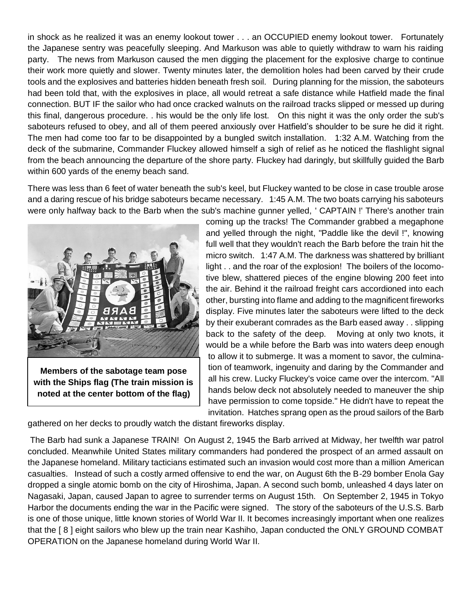in shock as he realized it was an enemy lookout tower . . . an OCCUPIED enemy lookout tower. Fortunately the Japanese sentry was peacefully sleeping. And Markuson was able to quietly withdraw to warn his raiding party. The news from Markuson caused the men digging the placement for the explosive charge to continue their work more quietly and slower. Twenty minutes later, the demolition holes had been carved by their crude tools and the explosives and batteries hidden beneath fresh soil. During planning for the mission, the saboteurs had been told that, with the explosives in place, all would retreat a safe distance while Hatfield made the final connection. BUT IF the sailor who had once cracked walnuts on the railroad tracks slipped or messed up during this final, dangerous procedure. . his would be the only life lost. On this night it was the only order the sub's saboteurs refused to obey, and all of them peered anxiously over Hatfield's shoulder to be sure he did it right. The men had come too far to be disappointed by a bungled switch installation. 1:32 A.M. Watching from the deck of the submarine, Commander Fluckey allowed himself a sigh of relief as he noticed the flashlight signal from the beach announcing the departure of the shore party. Fluckey had daringly, but skillfully guided the Barb within 600 yards of the enemy beach sand.

There was less than 6 feet of water beneath the sub's keel, but Fluckey wanted to be close in case trouble arose and a daring rescue of his bridge saboteurs became necessary. 1:45 A.M. The two boats carrying his saboteurs were only halfway back to the Barb when the sub's machine gunner yelled, ' CAPTAIN !' There's another train



**Members of the sabotage team pose with the Ships flag (The train mission is noted at the center bottom of the flag)**

coming up the tracks! The Commander grabbed a megaphone and yelled through the night, "Paddle like the devil !", knowing full well that they wouldn't reach the Barb before the train hit the micro switch. 1:47 A.M. The darkness was shattered by brilliant light . . and the roar of the explosion! The boilers of the locomotive blew, shattered pieces of the engine blowing 200 feet into the air. Behind it the railroad freight cars accordioned into each other, bursting into flame and adding to the magnificent fireworks display. Five minutes later the saboteurs were lifted to the deck by their exuberant comrades as the Barb eased away . . slipping back to the safety of the deep. Moving at only two knots, it would be a while before the Barb was into waters deep enough to allow it to submerge. It was a moment to savor, the culmination of teamwork, ingenuity and daring by the Commander and all his crew. Lucky Fluckey's voice came over the intercom. "All hands below deck not absolutely needed to maneuver the ship have permission to come topside." He didn't have to repeat the invitation. Hatches sprang open as the proud sailors of the Barb

gathered on her decks to proudly watch the distant fireworks display.

The Barb had sunk a Japanese TRAIN! On August 2, 1945 the Barb arrived at Midway, her twelfth war patrol concluded. Meanwhile United States military commanders had pondered the prospect of an armed assault on the Japanese homeland. Military tacticians estimated such an invasion would cost more than a million American casualties. Instead of such a costly armed offensive to end the war, on August 6th the B-29 bomber Enola Gay dropped a single atomic bomb on the city of Hiroshima, Japan. A second such bomb, unleashed 4 days later on Nagasaki, Japan, caused Japan to agree to surrender terms on August 15th. On September 2, 1945 in Tokyo Harbor the documents ending the war in the Pacific were signed. The story of the saboteurs of the U.S.S. Barb is one of those unique, little known stories of World War II. It becomes increasingly important when one realizes that the [ 8 ] eight sailors who blew up the train near Kashiho, Japan conducted the ONLY GROUND COMBAT OPERATION on the Japanese homeland during World War II.